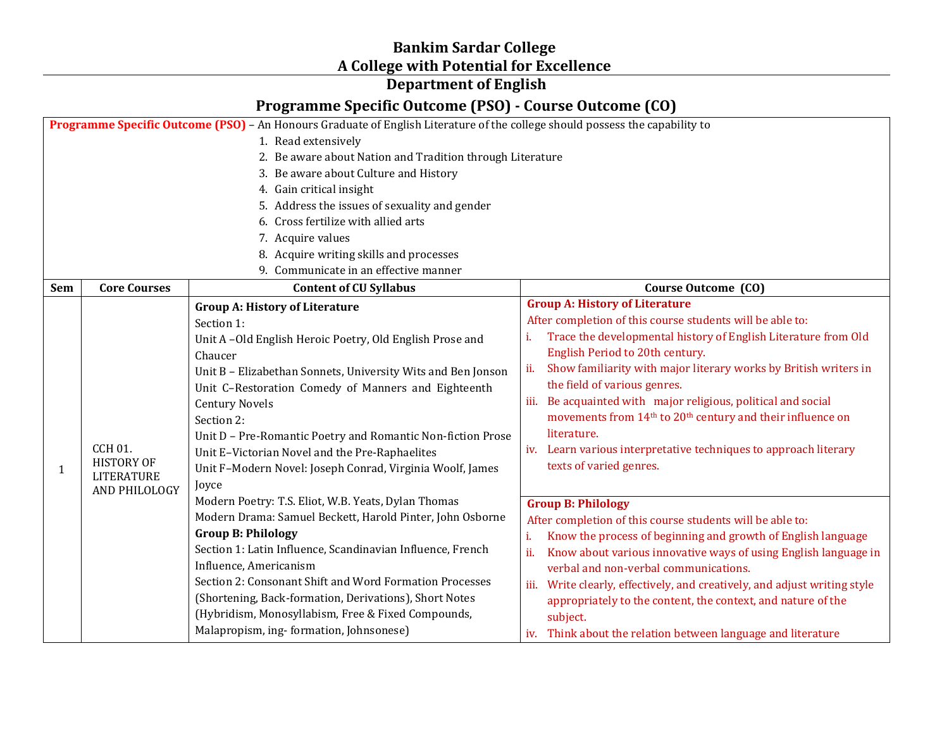## **Bankim Sardar College A College with Potential for Excellence**

## **Department of English**

## **Programme Specific Outcome (PSO) - Course Outcome (CO)**

|                                                           | Programme Specific Outcome (PSO) - An Honours Graduate of English Literature of the college should possess the capability to |                                                              |                                                                                    |  |
|-----------------------------------------------------------|------------------------------------------------------------------------------------------------------------------------------|--------------------------------------------------------------|------------------------------------------------------------------------------------|--|
|                                                           | 1. Read extensively                                                                                                          |                                                              |                                                                                    |  |
| 2. Be aware about Nation and Tradition through Literature |                                                                                                                              |                                                              |                                                                                    |  |
|                                                           |                                                                                                                              | 3. Be aware about Culture and History                        |                                                                                    |  |
|                                                           |                                                                                                                              | 4. Gain critical insight                                     |                                                                                    |  |
|                                                           |                                                                                                                              | 5. Address the issues of sexuality and gender                |                                                                                    |  |
|                                                           |                                                                                                                              | 6. Cross fertilize with allied arts                          |                                                                                    |  |
|                                                           |                                                                                                                              | 7. Acquire values                                            |                                                                                    |  |
|                                                           |                                                                                                                              | 8. Acquire writing skills and processes                      |                                                                                    |  |
|                                                           |                                                                                                                              | 9. Communicate in an effective manner                        |                                                                                    |  |
| Sem                                                       | <b>Core Courses</b>                                                                                                          | <b>Content of CU Syllabus</b>                                | Course Outcome (CO)                                                                |  |
|                                                           |                                                                                                                              | <b>Group A: History of Literature</b>                        | <b>Group A: History of Literature</b>                                              |  |
|                                                           |                                                                                                                              | Section 1:                                                   | After completion of this course students will be able to:                          |  |
|                                                           |                                                                                                                              | Unit A-Old English Heroic Poetry, Old English Prose and      | Trace the developmental history of English Literature from Old                     |  |
|                                                           |                                                                                                                              | Chaucer                                                      | English Period to 20th century.                                                    |  |
|                                                           |                                                                                                                              | Unit B - Elizabethan Sonnets, University Wits and Ben Jonson | ii.<br>Show familiarity with major literary works by British writers in            |  |
|                                                           |                                                                                                                              | Unit C-Restoration Comedy of Manners and Eighteenth          | the field of various genres.                                                       |  |
|                                                           |                                                                                                                              | <b>Century Novels</b>                                        | iii. Be acquainted with major religious, political and social                      |  |
|                                                           | <b>CCH 01.</b><br><b>HISTORY OF</b><br><b>LITERATURE</b><br><b>AND PHILOLOGY</b>                                             | Section 2:                                                   | movements from 14 <sup>th</sup> to 20 <sup>th</sup> century and their influence on |  |
|                                                           |                                                                                                                              | Unit D - Pre-Romantic Poetry and Romantic Non-fiction Prose  | literature.                                                                        |  |
|                                                           |                                                                                                                              | Unit E-Victorian Novel and the Pre-Raphaelites               | iv. Learn various interpretative techniques to approach literary                   |  |
| 1                                                         |                                                                                                                              | Unit F-Modern Novel: Joseph Conrad, Virginia Woolf, James    | texts of varied genres.                                                            |  |
|                                                           |                                                                                                                              | Joyce                                                        |                                                                                    |  |
|                                                           |                                                                                                                              | Modern Poetry: T.S. Eliot, W.B. Yeats, Dylan Thomas          | <b>Group B: Philology</b>                                                          |  |
|                                                           |                                                                                                                              | Modern Drama: Samuel Beckett, Harold Pinter, John Osborne    | After completion of this course students will be able to:                          |  |
|                                                           |                                                                                                                              | <b>Group B: Philology</b>                                    | Know the process of beginning and growth of English language<br>i.                 |  |
|                                                           |                                                                                                                              | Section 1: Latin Influence, Scandinavian Influence, French   | Know about various innovative ways of using English language in<br>ii.             |  |
|                                                           |                                                                                                                              | Influence, Americanism                                       | verbal and non-verbal communications.                                              |  |
|                                                           |                                                                                                                              | Section 2: Consonant Shift and Word Formation Processes      | iii. Write clearly, effectively, and creatively, and adjust writing style          |  |
|                                                           |                                                                                                                              | (Shortening, Back-formation, Derivations), Short Notes       | appropriately to the content, the context, and nature of the                       |  |
|                                                           |                                                                                                                              | (Hybridism, Monosyllabism, Free & Fixed Compounds,           | subject.                                                                           |  |
|                                                           |                                                                                                                              | Malapropism, ing-formation, Johnsonese)                      | iv. Think about the relation between language and literature                       |  |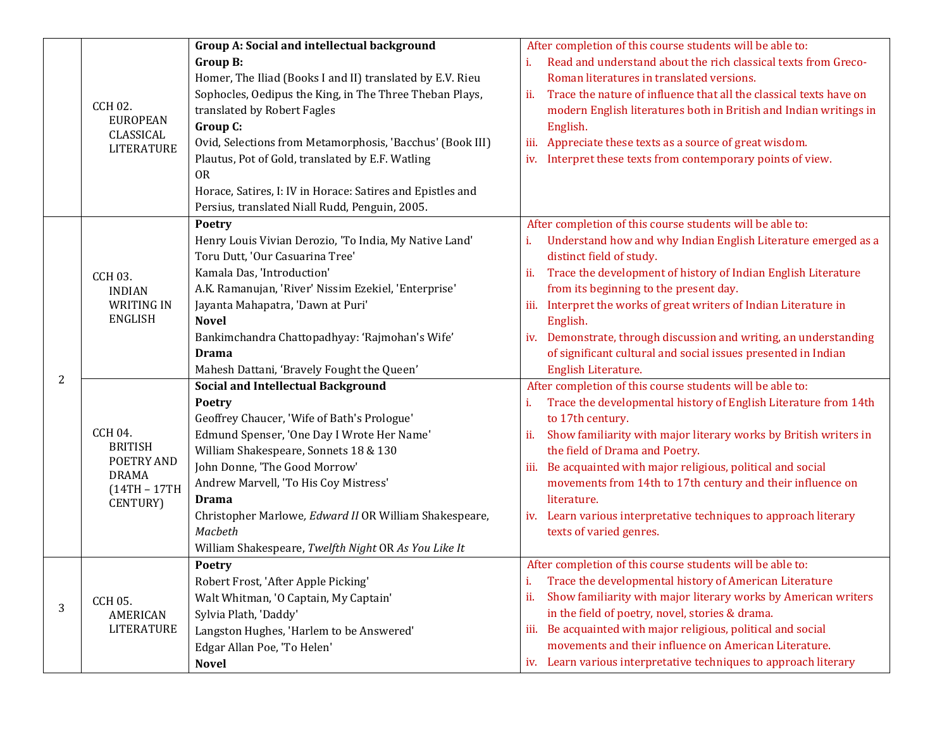|   |                                                                                               | Group A: Social and intellectual background                                                        | After completion of this course students will be able to:                                                                                                  |
|---|-----------------------------------------------------------------------------------------------|----------------------------------------------------------------------------------------------------|------------------------------------------------------------------------------------------------------------------------------------------------------------|
|   | <b>CCH 02.</b><br><b>EUROPEAN</b><br>CLASSICAL<br><b>LITERATURE</b>                           | Group B:<br>Homer, The Iliad (Books I and II) translated by E.V. Rieu                              | Read and understand about the rich classical texts from Greco-<br>i.<br>Roman literatures in translated versions.                                          |
|   |                                                                                               | Sophocles, Oedipus the King, in The Three Theban Plays,<br>translated by Robert Fagles<br>Group C: | Trace the nature of influence that all the classical texts have on<br>ii.<br>modern English literatures both in British and Indian writings in<br>English. |
|   |                                                                                               | Ovid, Selections from Metamorphosis, 'Bacchus' (Book III)                                          | Appreciate these texts as a source of great wisdom.<br>iii.                                                                                                |
|   |                                                                                               | Plautus, Pot of Gold, translated by E.F. Watling                                                   | Interpret these texts from contemporary points of view.<br>iv.                                                                                             |
|   |                                                                                               | <b>OR</b>                                                                                          |                                                                                                                                                            |
|   |                                                                                               | Horace, Satires, I: IV in Horace: Satires and Epistles and                                         |                                                                                                                                                            |
|   |                                                                                               | Persius, translated Niall Rudd, Penguin, 2005.                                                     |                                                                                                                                                            |
|   |                                                                                               | <b>Poetry</b>                                                                                      | After completion of this course students will be able to:                                                                                                  |
|   |                                                                                               | Henry Louis Vivian Derozio, 'To India, My Native Land'                                             | Understand how and why Indian English Literature emerged as a<br>i.                                                                                        |
|   |                                                                                               | Toru Dutt, 'Our Casuarina Tree'                                                                    | distinct field of study.                                                                                                                                   |
|   | <b>CCH 03.</b>                                                                                | Kamala Das, 'Introduction'                                                                         | Trace the development of history of Indian English Literature<br>ii.                                                                                       |
|   | <b>INDIAN</b>                                                                                 | A.K. Ramanujan, 'River' Nissim Ezekiel, 'Enterprise'                                               | from its beginning to the present day.                                                                                                                     |
|   | <b>WRITING IN</b>                                                                             | Jayanta Mahapatra, 'Dawn at Puri'                                                                  | Interpret the works of great writers of Indian Literature in<br>iii.                                                                                       |
|   | <b>ENGLISH</b>                                                                                | <b>Novel</b>                                                                                       | English.                                                                                                                                                   |
|   |                                                                                               | Bankimchandra Chattopadhyay: 'Rajmohan's Wife'                                                     | Demonstrate, through discussion and writing, an understanding<br>iv.                                                                                       |
|   |                                                                                               | <b>Drama</b>                                                                                       | of significant cultural and social issues presented in Indian                                                                                              |
| 2 |                                                                                               | Mahesh Dattani, 'Bravely Fought the Queen'                                                         | English Literature.                                                                                                                                        |
|   |                                                                                               | <b>Social and Intellectual Background</b>                                                          | After completion of this course students will be able to:                                                                                                  |
|   | <b>CCH 04.</b><br><b>BRITISH</b><br>POETRY AND<br><b>DRAMA</b><br>$(14TH - 17TH)$<br>CENTURY) | Poetry                                                                                             | Trace the developmental history of English Literature from 14th<br>i.                                                                                      |
|   |                                                                                               | Geoffrey Chaucer, 'Wife of Bath's Prologue'                                                        | to 17th century.                                                                                                                                           |
|   |                                                                                               | Edmund Spenser, 'One Day I Wrote Her Name'                                                         | Show familiarity with major literary works by British writers in<br>ii.                                                                                    |
|   |                                                                                               | William Shakespeare, Sonnets 18 & 130                                                              | the field of Drama and Poetry.                                                                                                                             |
|   |                                                                                               | John Donne, 'The Good Morrow'                                                                      | Be acquainted with major religious, political and social<br>iii.                                                                                           |
|   |                                                                                               | Andrew Marvell, 'To His Coy Mistress'                                                              | movements from 14th to 17th century and their influence on                                                                                                 |
|   |                                                                                               | <b>Drama</b>                                                                                       | literature.                                                                                                                                                |
|   |                                                                                               | Christopher Marlowe, Edward II OR William Shakespeare,<br>Macbeth                                  | iv. Learn various interpretative techniques to approach literary                                                                                           |
|   |                                                                                               | William Shakespeare, Twelfth Night OR As You Like It                                               | texts of varied genres.                                                                                                                                    |
|   |                                                                                               | Poetry                                                                                             | After completion of this course students will be able to:                                                                                                  |
| 3 |                                                                                               | Robert Frost, 'After Apple Picking'                                                                | Trace the developmental history of American Literature<br>i.                                                                                               |
|   |                                                                                               | Walt Whitman, 'O Captain, My Captain'                                                              | Show familiarity with major literary works by American writers<br>ii.                                                                                      |
|   | <b>CCH 05.</b><br><b>AMERICAN</b>                                                             | Sylvia Plath, 'Daddy'                                                                              | in the field of poetry, novel, stories & drama.                                                                                                            |
|   | <b>LITERATURE</b>                                                                             | Langston Hughes, 'Harlem to be Answered'                                                           | Be acquainted with major religious, political and social<br>iii.                                                                                           |
|   |                                                                                               | Edgar Allan Poe, 'To Helen'                                                                        | movements and their influence on American Literature.                                                                                                      |
|   |                                                                                               | <b>Novel</b>                                                                                       | iv. Learn various interpretative techniques to approach literary                                                                                           |
|   |                                                                                               |                                                                                                    |                                                                                                                                                            |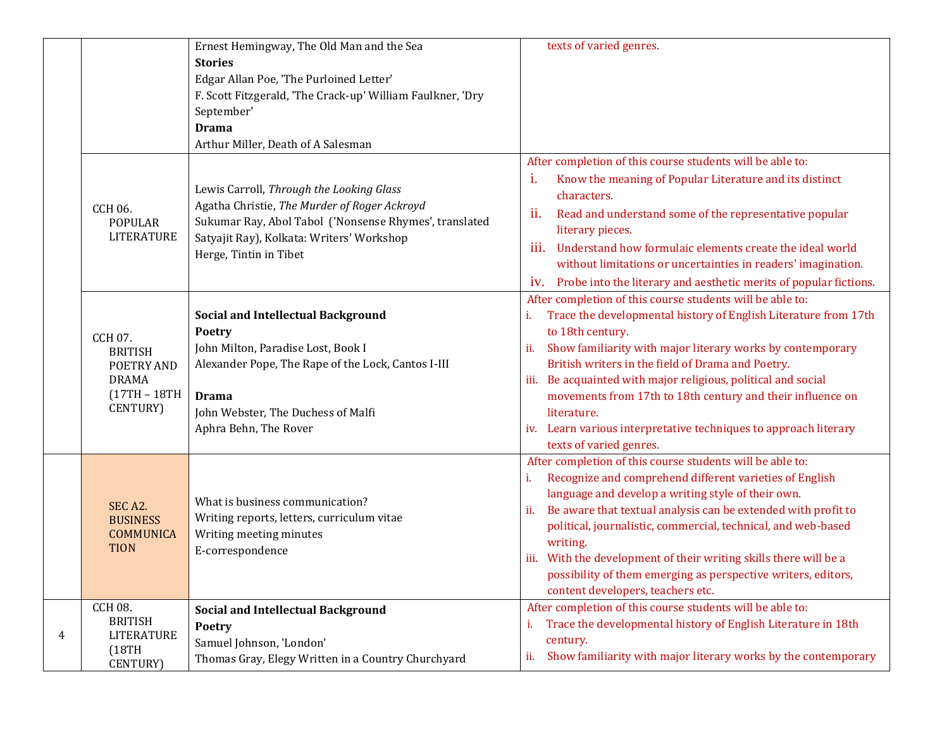|   |                                                                                                | Ernest Hemingway, The Old Man and the Sea                                                                                                                                                                                             | texts of varied genres.                                                                                                                                                                                                                                                                                                                                                                                                                                                                                                 |
|---|------------------------------------------------------------------------------------------------|---------------------------------------------------------------------------------------------------------------------------------------------------------------------------------------------------------------------------------------|-------------------------------------------------------------------------------------------------------------------------------------------------------------------------------------------------------------------------------------------------------------------------------------------------------------------------------------------------------------------------------------------------------------------------------------------------------------------------------------------------------------------------|
|   |                                                                                                | <b>Stories</b><br>Edgar Allan Poe, 'The Purloined Letter'                                                                                                                                                                             |                                                                                                                                                                                                                                                                                                                                                                                                                                                                                                                         |
|   |                                                                                                | F. Scott Fitzgerald, 'The Crack-up' William Faulkner, 'Dry                                                                                                                                                                            |                                                                                                                                                                                                                                                                                                                                                                                                                                                                                                                         |
|   |                                                                                                | September'<br><b>Drama</b>                                                                                                                                                                                                            |                                                                                                                                                                                                                                                                                                                                                                                                                                                                                                                         |
|   |                                                                                                | Arthur Miller, Death of A Salesman                                                                                                                                                                                                    |                                                                                                                                                                                                                                                                                                                                                                                                                                                                                                                         |
|   | CCH 06.<br><b>POPULAR</b><br><b>LITERATURE</b>                                                 | Lewis Carroll, Through the Looking Glass<br>Agatha Christie, The Murder of Roger Ackroyd<br>Sukumar Ray, Abol Tabol ('Nonsense Rhymes', translated<br>Satyajit Ray), Kolkata: Writers' Workshop<br>Herge, Tintin in Tibet             | After completion of this course students will be able to:<br>i.<br>Know the meaning of Popular Literature and its distinct<br>characters.<br>ii.<br>Read and understand some of the representative popular<br>literary pieces.<br>iii.<br>Understand how formulaic elements create the ideal world<br>without limitations or uncertainties in readers' imagination.<br>iv. Probe into the literary and aesthetic merits of popular fictions.                                                                            |
|   | CCH 07.<br><b>BRITISH</b><br>POETRY AND<br><b>DRAMA</b><br>$(17TH - 18TH)$<br><b>CENTURY</b> ) | <b>Social and Intellectual Background</b><br><b>Poetry</b><br>John Milton, Paradise Lost, Book I<br>Alexander Pope, The Rape of the Lock, Cantos I-III<br><b>Drama</b><br>John Webster, The Duchess of Malfi<br>Aphra Behn, The Rover | After completion of this course students will be able to:<br>Trace the developmental history of English Literature from 17th<br>to 18th century.<br>Show familiarity with major literary works by contemporary<br>ii.<br>British writers in the field of Drama and Poetry.<br>iii. Be acquainted with major religious, political and social<br>movements from 17th to 18th century and their influence on<br>literature.<br>iv. Learn various interpretative techniques to approach literary<br>texts of varied genres. |
|   | SEC <sub>A2</sub> .<br><b>BUSINESS</b><br><b>COMMUNICA</b><br><b>TION</b>                      | What is business communication?<br>Writing reports, letters, curriculum vitae<br>Writing meeting minutes<br>E-correspondence                                                                                                          | After completion of this course students will be able to:<br>Recognize and comprehend different varieties of English<br>i.<br>language and develop a writing style of their own.<br>Be aware that textual analysis can be extended with profit to<br>ii.<br>political, journalistic, commercial, technical, and web-based<br>writing.<br>iii. With the development of their writing skills there will be a<br>possibility of them emerging as perspective writers, editors,<br>content developers, teachers etc.        |
| 4 | <b>CCH 08.</b><br><b>BRITISH</b><br><b>LITERATURE</b><br>(18TH)<br><b>CENTURY</b> )            | <b>Social and Intellectual Background</b><br><b>Poetry</b><br>Samuel Johnson, 'London'<br>Thomas Gray, Elegy Written in a Country Churchyard                                                                                          | After completion of this course students will be able to:<br>Trace the developmental history of English Literature in 18th<br>i.<br>century.<br>Show familiarity with major literary works by the contemporary<br>ii.                                                                                                                                                                                                                                                                                                   |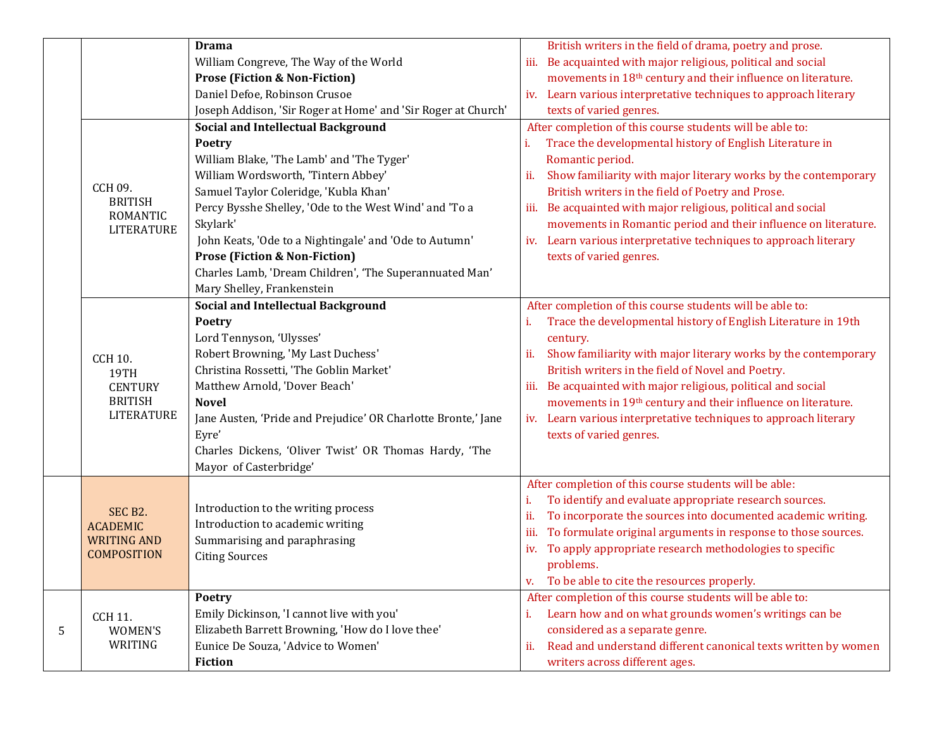|   |                                          | <b>Drama</b>                                                  | British writers in the field of drama, poetry and prose.                 |
|---|------------------------------------------|---------------------------------------------------------------|--------------------------------------------------------------------------|
|   |                                          | William Congreve, The Way of the World                        | iii. Be acquainted with major religious, political and social            |
|   |                                          | <b>Prose (Fiction &amp; Non-Fiction)</b>                      | movements in 18 <sup>th</sup> century and their influence on literature. |
|   |                                          | Daniel Defoe, Robinson Crusoe                                 | iv. Learn various interpretative techniques to approach literary         |
|   |                                          | Joseph Addison, 'Sir Roger at Home' and 'Sir Roger at Church' | texts of varied genres.                                                  |
|   |                                          | <b>Social and Intellectual Background</b>                     | After completion of this course students will be able to:                |
|   |                                          | Poetry                                                        | Trace the developmental history of English Literature in<br>i.           |
|   | CCH 09.                                  | William Blake, 'The Lamb' and 'The Tyger'                     | Romantic period.                                                         |
|   |                                          | William Wordsworth, 'Tintern Abbey'                           | Show familiarity with major literary works by the contemporary<br>ii.    |
|   |                                          | Samuel Taylor Coleridge, 'Kubla Khan'                         | British writers in the field of Poetry and Prose.                        |
|   | <b>BRITISH</b>                           | Percy Bysshe Shelley, 'Ode to the West Wind' and 'To a        | iii. Be acquainted with major religious, political and social            |
|   | <b>ROMANTIC</b>                          | Skylark'                                                      | movements in Romantic period and their influence on literature.          |
|   | <b>LITERATURE</b>                        | John Keats, 'Ode to a Nightingale' and 'Ode to Autumn'        | iv. Learn various interpretative techniques to approach literary         |
|   |                                          | <b>Prose (Fiction &amp; Non-Fiction)</b>                      | texts of varied genres.                                                  |
|   |                                          | Charles Lamb, 'Dream Children', 'The Superannuated Man'       |                                                                          |
|   |                                          | Mary Shelley, Frankenstein                                    |                                                                          |
|   |                                          | <b>Social and Intellectual Background</b>                     | After completion of this course students will be able to:                |
|   |                                          | <b>Poetry</b>                                                 | Trace the developmental history of English Literature in 19th<br>i.      |
|   |                                          | Lord Tennyson, 'Ulysses'                                      | century.                                                                 |
|   | <b>CCH 10.</b>                           | Robert Browning, 'My Last Duchess'                            | Show familiarity with major literary works by the contemporary<br>ii.    |
|   | <b>19TH</b>                              | Christina Rossetti, 'The Goblin Market'                       | British writers in the field of Novel and Poetry.                        |
|   | <b>CENTURY</b>                           | Matthew Arnold, 'Dover Beach'                                 | iii. Be acquainted with major religious, political and social            |
|   | <b>BRITISH</b><br><b>LITERATURE</b>      | <b>Novel</b>                                                  | movements in 19th century and their influence on literature.             |
|   |                                          | Jane Austen, 'Pride and Prejudice' OR Charlotte Bronte,' Jane | iv. Learn various interpretative techniques to approach literary         |
|   |                                          | Eyre'                                                         | texts of varied genres.                                                  |
|   |                                          | Charles Dickens, 'Oliver Twist' OR Thomas Hardy, 'The         |                                                                          |
|   |                                          | Mayor of Casterbridge'                                        |                                                                          |
|   |                                          |                                                               | After completion of this course students will be able:                   |
|   |                                          |                                                               | To identify and evaluate appropriate research sources.<br>i.             |
|   | SEC B2.                                  | Introduction to the writing process                           | To incorporate the sources into documented academic writing.<br>ii.      |
|   | <b>ACADEMIC</b>                          | Introduction to academic writing                              | To formulate original arguments in response to those sources.<br>iii.    |
|   | <b>WRITING AND</b><br><b>COMPOSITION</b> | Summarising and paraphrasing                                  | To apply appropriate research methodologies to specific<br>iv.           |
|   |                                          | <b>Citing Sources</b>                                         | problems.                                                                |
|   |                                          |                                                               | To be able to cite the resources properly.<br>v.                         |
|   |                                          | Poetry                                                        | After completion of this course students will be able to:                |
|   | <b>CCH 11.</b>                           | Emily Dickinson, 'I cannot live with you'                     | Learn how and on what grounds women's writings can be<br>i.              |
| 5 | WOMEN'S<br>WRITING                       | Elizabeth Barrett Browning, 'How do I love thee'              | considered as a separate genre.                                          |
|   |                                          | Eunice De Souza, 'Advice to Women'                            | Read and understand different canonical texts written by women<br>ii.    |
|   |                                          | <b>Fiction</b>                                                | writers across different ages.                                           |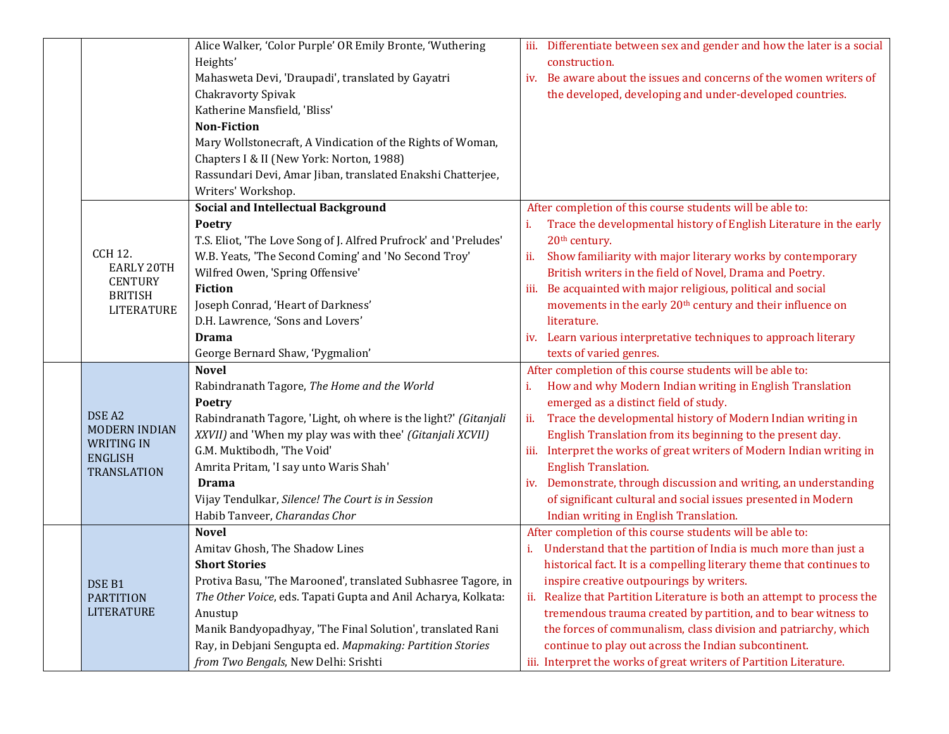|  |                                     | Alice Walker, 'Color Purple' OR Emily Bronte, 'Wuthering         | iii. Differentiate between sex and gender and how the later is a social  |
|--|-------------------------------------|------------------------------------------------------------------|--------------------------------------------------------------------------|
|  |                                     | Heights'                                                         | construction.                                                            |
|  |                                     | Mahasweta Devi, 'Draupadi', translated by Gayatri                | iv. Be aware about the issues and concerns of the women writers of       |
|  |                                     | Chakravorty Spivak                                               | the developed, developing and under-developed countries.                 |
|  |                                     | Katherine Mansfield, 'Bliss'                                     |                                                                          |
|  |                                     | <b>Non-Fiction</b>                                               |                                                                          |
|  |                                     | Mary Wollstonecraft, A Vindication of the Rights of Woman,       |                                                                          |
|  |                                     | Chapters I & II (New York: Norton, 1988)                         |                                                                          |
|  |                                     | Rassundari Devi, Amar Jiban, translated Enakshi Chatterjee,      |                                                                          |
|  |                                     | Writers' Workshop.                                               |                                                                          |
|  |                                     | <b>Social and Intellectual Background</b>                        | After completion of this course students will be able to:                |
|  |                                     | <b>Poetry</b>                                                    | Trace the developmental history of English Literature in the early<br>i. |
|  |                                     | T.S. Eliot, 'The Love Song of J. Alfred Prufrock' and 'Preludes' | 20 <sup>th</sup> century.                                                |
|  | <b>CCH 12.</b>                      | W.B. Yeats, 'The Second Coming' and 'No Second Troy'             | Show familiarity with major literary works by contemporary<br>ii.        |
|  | <b>EARLY 20TH</b>                   | Wilfred Owen, 'Spring Offensive'                                 | British writers in the field of Novel, Drama and Poetry.                 |
|  | <b>CENTURY</b><br><b>BRITISH</b>    | <b>Fiction</b>                                                   | Be acquainted with major religious, political and social<br>iii.         |
|  | <b>LITERATURE</b>                   | Joseph Conrad, 'Heart of Darkness'                               | movements in the early 20 <sup>th</sup> century and their influence on   |
|  |                                     | D.H. Lawrence, 'Sons and Lovers'                                 | literature.                                                              |
|  |                                     | <b>Drama</b>                                                     | iv. Learn various interpretative techniques to approach literary         |
|  |                                     | George Bernard Shaw, 'Pygmalion'                                 | texts of varied genres.                                                  |
|  |                                     | <b>Novel</b>                                                     | After completion of this course students will be able to:                |
|  |                                     | Rabindranath Tagore, The Home and the World                      | How and why Modern Indian writing in English Translation<br>i.           |
|  |                                     | <b>Poetry</b>                                                    | emerged as a distinct field of study.                                    |
|  | DSE A2                              | Rabindranath Tagore, 'Light, oh where is the light?' (Gitanjali  | Trace the developmental history of Modern Indian writing in<br>ii.       |
|  | <b>MODERN INDIAN</b>                | XXVII) and 'When my play was with thee' (Gitanjali XCVII)        | English Translation from its beginning to the present day.               |
|  | <b>WRITING IN</b><br><b>ENGLISH</b> | G.M. Muktibodh, 'The Void'                                       | Interpret the works of great writers of Modern Indian writing in<br>iii. |
|  | <b>TRANSLATION</b>                  | Amrita Pritam, 'I say unto Waris Shah'                           | <b>English Translation.</b>                                              |
|  |                                     | <b>Drama</b>                                                     | iv. Demonstrate, through discussion and writing, an understanding        |
|  |                                     | Vijay Tendulkar, Silence! The Court is in Session                | of significant cultural and social issues presented in Modern            |
|  |                                     | Habib Tanveer, Charandas Chor                                    | Indian writing in English Translation.                                   |
|  |                                     | <b>Novel</b>                                                     | After completion of this course students will be able to:                |
|  |                                     | Amitav Ghosh, The Shadow Lines                                   | Understand that the partition of India is much more than just a          |
|  |                                     | <b>Short Stories</b>                                             | historical fact. It is a compelling literary theme that continues to     |
|  | DSE B1                              | Protiva Basu, 'The Marooned', translated Subhasree Tagore, in    | inspire creative outpourings by writers.                                 |
|  | <b>PARTITION</b>                    | The Other Voice, eds. Tapati Gupta and Anil Acharya, Kolkata:    | ii. Realize that Partition Literature is both an attempt to process the  |
|  | <b>LITERATURE</b>                   | Anustup                                                          | tremendous trauma created by partition, and to bear witness to           |
|  |                                     | Manik Bandyopadhyay, 'The Final Solution', translated Rani       | the forces of communalism, class division and patriarchy, which          |
|  |                                     | Ray, in Debjani Sengupta ed. Mapmaking: Partition Stories        | continue to play out across the Indian subcontinent.                     |
|  |                                     | from Two Bengals, New Delhi: Srishti                             | iii. Interpret the works of great writers of Partition Literature.       |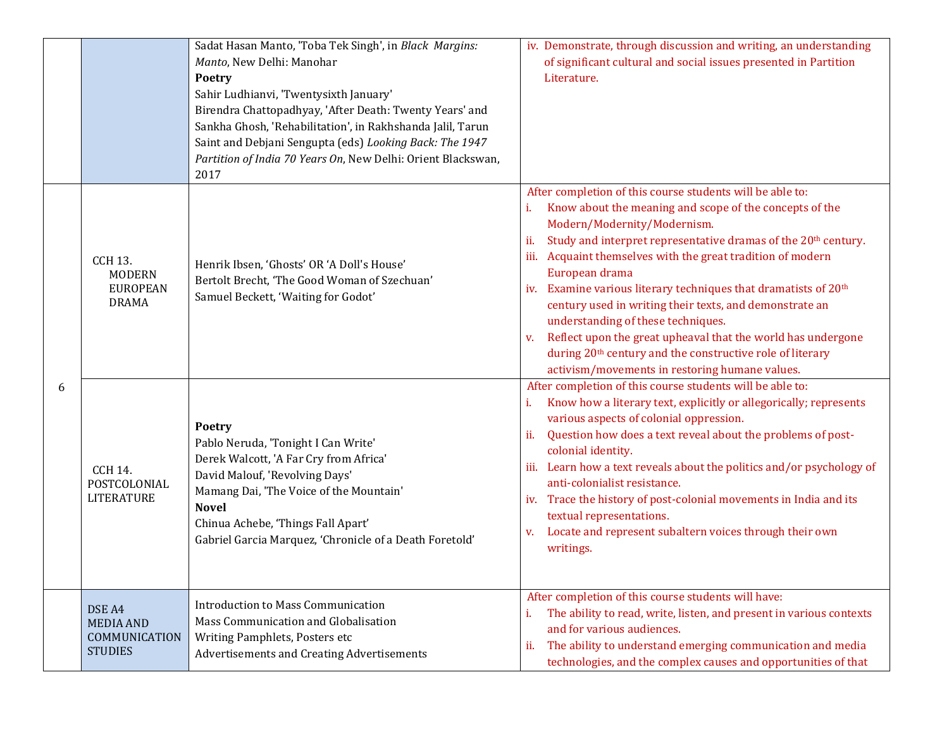|   |                                                                    | Sadat Hasan Manto, 'Toba Tek Singh', in Black Margins:<br>Manto, New Delhi: Manohar<br>Poetry<br>Sahir Ludhianvi, 'Twentysixth January'<br>Birendra Chattopadhyay, 'After Death: Twenty Years' and<br>Sankha Ghosh, 'Rehabilitation', in Rakhshanda Jalil, Tarun<br>Saint and Debjani Sengupta (eds) Looking Back: The 1947<br>Partition of India 70 Years On, New Delhi: Orient Blackswan,<br>2017 | iv. Demonstrate, through discussion and writing, an understanding<br>of significant cultural and social issues presented in Partition<br>Literature.                                                                                                                                                                                                                                                                                                                                                                                                                                                                                                                                                             |
|---|--------------------------------------------------------------------|-----------------------------------------------------------------------------------------------------------------------------------------------------------------------------------------------------------------------------------------------------------------------------------------------------------------------------------------------------------------------------------------------------|------------------------------------------------------------------------------------------------------------------------------------------------------------------------------------------------------------------------------------------------------------------------------------------------------------------------------------------------------------------------------------------------------------------------------------------------------------------------------------------------------------------------------------------------------------------------------------------------------------------------------------------------------------------------------------------------------------------|
| 6 | <b>CCH 13.</b><br><b>MODERN</b><br><b>EUROPEAN</b><br><b>DRAMA</b> | Henrik Ibsen, 'Ghosts' OR 'A Doll's House'<br>Bertolt Brecht, 'The Good Woman of Szechuan'<br>Samuel Beckett, 'Waiting for Godot'                                                                                                                                                                                                                                                                   | After completion of this course students will be able to:<br>Know about the meaning and scope of the concepts of the<br>i.<br>Modern/Modernity/Modernism.<br>Study and interpret representative dramas of the 20 <sup>th</sup> century.<br>ii.<br>iii. Acquaint themselves with the great tradition of modern<br>European drama<br>iv. Examine various literary techniques that dramatists of 20 <sup>th</sup><br>century used in writing their texts, and demonstrate an<br>understanding of these techniques.<br>Reflect upon the great upheaval that the world has undergone<br>V.<br>during 20 <sup>th</sup> century and the constructive role of literary<br>activism/movements in restoring humane values. |
|   | <b>CCH 14.</b><br>POSTCOLONIAL<br><b>LITERATURE</b>                | <b>Poetry</b><br>Pablo Neruda, 'Tonight I Can Write'<br>Derek Walcott, 'A Far Cry from Africa'<br>David Malouf, 'Revolving Days'<br>Mamang Dai, 'The Voice of the Mountain'<br><b>Novel</b><br>Chinua Achebe, 'Things Fall Apart'<br>Gabriel Garcia Marquez, 'Chronicle of a Death Foretold'                                                                                                        | After completion of this course students will be able to:<br>Know how a literary text, explicitly or allegorically; represents<br>various aspects of colonial oppression.<br>Question how does a text reveal about the problems of post-<br>ii.<br>colonial identity.<br>iii. Learn how a text reveals about the politics and/or psychology of<br>anti-colonialist resistance.<br>iv. Trace the history of post-colonial movements in India and its<br>textual representations.<br>Locate and represent subaltern voices through their own<br>V.<br>writings.                                                                                                                                                    |
|   | DSE A4<br><b>MEDIA AND</b><br>COMMUNICATION<br><b>STUDIES</b>      | <b>Introduction to Mass Communication</b><br>Mass Communication and Globalisation<br>Writing Pamphlets, Posters etc<br>Advertisements and Creating Advertisements                                                                                                                                                                                                                                   | After completion of this course students will have:<br>The ability to read, write, listen, and present in various contexts<br>i.<br>and for various audiences.<br>The ability to understand emerging communication and media<br>ii.<br>technologies, and the complex causes and opportunities of that                                                                                                                                                                                                                                                                                                                                                                                                            |